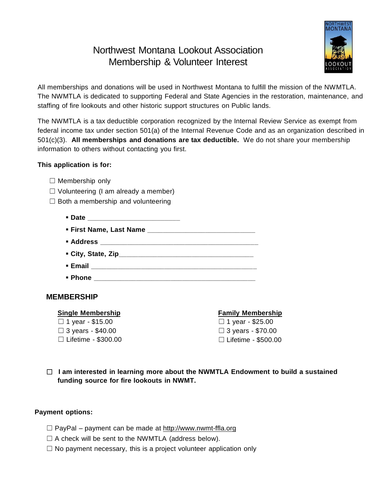# Northwest Montana Lookout Association Membership & Volunteer Interest



All memberships and donations will be used in Northwest Montana to fulfill the mission of the NWMTLA. The NWMTLA is dedicated to supporting Federal and State Agencies in the restoration, maintenance, and staffing of fire lookouts and other historic support structures on Public lands.

The NWMTLA is a tax deductible corporation recognized by the Internal Review Service as exempt from federal income tax under section 501(a) of the Internal Revenue Code and as an organization described in 501(c)(3). **All memberships and donations are tax deductible.** We do not share your membership information to others without contacting you first.

# **This application is for:**

- $\Box$  Membership only
- $\Box$  Volunteering (I am already a member)
- $\Box$  Both a membership and volunteering
	- **Date** *Date*
	- **First Name, Last Name \_\_\_\_\_\_\_\_\_\_\_\_\_\_\_\_\_\_\_\_\_\_\_\_\_\_\_\_**
	- **Address \_\_\_\_\_\_\_\_\_\_\_\_\_\_\_\_\_\_\_\_\_\_\_\_\_\_\_\_\_\_\_\_\_\_\_\_\_\_\_\_\_**
	- **City, State, Zip\_\_\_\_\_\_\_\_\_\_\_\_\_\_\_\_\_\_\_\_\_\_\_\_\_\_\_\_\_\_\_\_\_\_\_**
	- **Email Email** *Letters <b>Email Letters <b>Email*
	- **Phone \_\_\_\_\_\_\_\_\_\_\_\_\_\_\_\_\_\_\_\_\_\_\_\_\_\_\_\_\_\_\_\_\_\_\_\_\_\_\_\_\_\_**

# **MEMBERSHIP**

#### **Single Membership**

 $\Box$  1 year - \$15.00  $\Box$  3 years - \$40.00 ☐ Lifetime - \$300.00

# **Family Membership**

 $\Box$  1 year - \$25.00  $\Box$  3 years - \$70.00 ☐ Lifetime - \$500.00

☐ **I am interested in learning more about the NWMTLA Endowment to build a sustained funding source for fire lookouts in NWMT.**

## **Payment options:**

- $\Box$  PayPal payment can be made at [http://www.nwmt-ffla.org](http://www.nwmt-ffla.org/)
- $\Box$  A check will be sent to the NWMTLA (address below).
- $\Box$  No payment necessary, this is a project volunteer application only